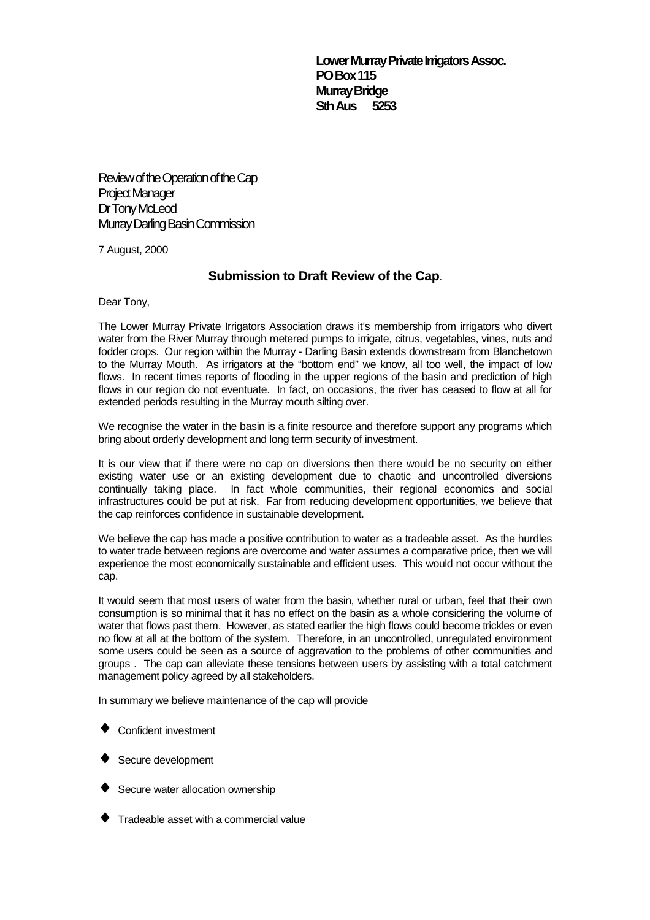**Lower Murray Private Irrigators Assoc. PO Box 115 Murray Bridge Sth Aus 5253**

Review of the Operation of the Cap Project Manager Dr Tony McLeod Murray Darling Basin Commission

7 August, 2000

## **Submission to Draft Review of the Cap**.

Dear Tony,

The Lower Murray Private Irrigators Association draws it's membership from irrigators who divert water from the River Murray through metered pumps to irrigate, citrus, vegetables, vines, nuts and fodder crops. Our region within the Murray - Darling Basin extends downstream from Blanchetown to the Murray Mouth. As irrigators at the "bottom end" we know, all too well, the impact of low flows. In recent times reports of flooding in the upper regions of the basin and prediction of high flows in our region do not eventuate. In fact, on occasions, the river has ceased to flow at all for extended periods resulting in the Murray mouth silting over.

We recognise the water in the basin is a finite resource and therefore support any programs which bring about orderly development and long term security of investment.

It is our view that if there were no cap on diversions then there would be no security on either existing water use or an existing development due to chaotic and uncontrolled diversions continually taking place. In fact whole communities, their regional economics and social infrastructures could be put at risk. Far from reducing development opportunities, we believe that the cap reinforces confidence in sustainable development.

We believe the cap has made a positive contribution to water as a tradeable asset. As the hurdles to water trade between regions are overcome and water assumes a comparative price, then we will experience the most economically sustainable and efficient uses. This would not occur without the cap.

It would seem that most users of water from the basin, whether rural or urban, feel that their own consumption is so minimal that it has no effect on the basin as a whole considering the volume of water that flows past them. However, as stated earlier the high flows could become trickles or even no flow at all at the bottom of the system. Therefore, in an uncontrolled, unregulated environment some users could be seen as a source of aggravation to the problems of other communities and groups . The cap can alleviate these tensions between users by assisting with a total catchment management policy agreed by all stakeholders.

In summary we believe maintenance of the cap will provide

- ♦ Confident investment
- **Secure development**
- Secure water allocation ownership
- Tradeable asset with a commercial value